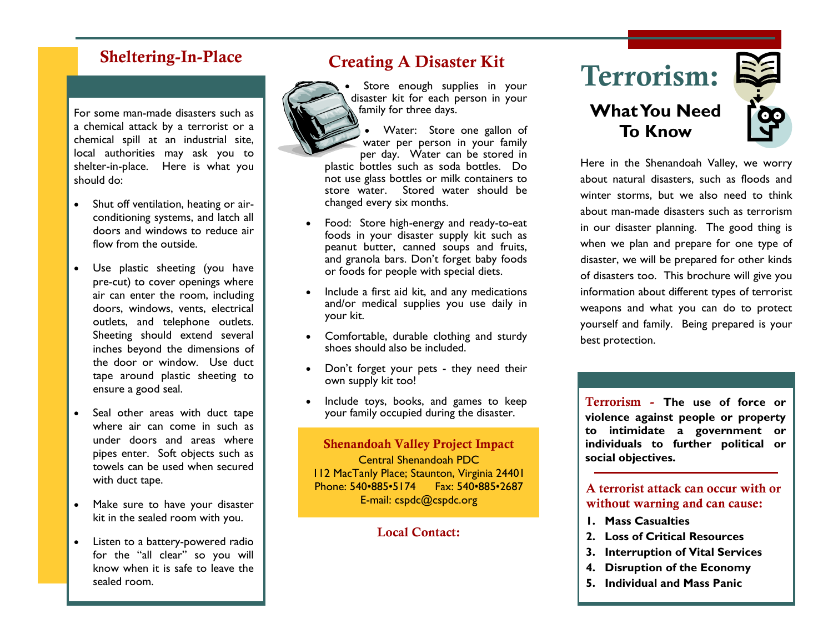### Sheltering-In-Place

For some man-made disasters such as a chemical attack by a terrorist or a chemical spill at an industrial site, local authorities may ask you to shelter-in-place. Here is what you should do:

- Shut off ventilation, heating or airconditioning systems, and latch all doors and windows to reduce air flow from the outside.
- Use plastic sheeting (you have pre-cut) to cover openings where air can enter the room, including doors, windows, vents, electrical outlets, and telephone outlets. Sheeting should extend several inches beyond the dimensions of the door or window. Use duct tape around plastic sheeting to ensure a good seal.
- Seal other areas with duct tape where air can come in such as under doors and areas where pipes enter. Soft objects such as towels can be used when secured with duct tape.
- Make sure to have your disaster kit in the sealed room with you.
- Listen to a battery-powered radio for the "all clear" so you will know when it is safe to leave the sealed room.

### Creating A Disaster Kit



Store enough supplies in your disaster kit for each person in your family for three days.

• Water: Store one gallon of water per person in your family per day. Water can be stored in plastic bottles such as soda bottles. Do not use glass bottles or milk containers to store water. Stored water should be changed every six months.

- Food: Store high-energy and ready-to-eat foods in your disaster supply kit such as peanut butter, canned soups and fruits, and granola bars. Don't forget baby foods or foods for people with special diets.
- Include a first aid kit, and any medications and/or medical supplies you use daily in your kit.
- Comfortable, durable clothing and sturdy shoes should also be included.
- Don't forget your pets they need their own supply kit too!
- Include toys, books, and games to keep your family occupied during the disaster.

Shenandoah Valley Project Impact Central Shenandoah PDC 112 MacTanly Place; Staunton, Virginia 24401 Phone: 540•885•5174 Fax: 540•885•2687 E-mail: cspdc@cspdc.org

### Local Contact:

# Terrorism:

### **What You Need To Know**



Here in the Shenandoah Valley, we worry about natural disasters, such as floods and winter storms, but we also need to think about man-made disasters such as terrorism in our disaster planning. The good thing is when we plan and prepare for one type of disaster, we will be prepared for other kinds of disasters too. This brochure will give you information about different types of terrorist weapons and what you can do to protect yourself and family. Being prepared is your best protection.

Terrorism - **The use of force or violence against people or property to intimidate a government or individuals to further political or social objectives.**

### A terrorist attack can occur with or without warning and can cause:

- **1. Mass Casualties**
- **2. Loss of Critical Resources**
- **3. Interruption of Vital Services**
- **4. Disruption of the Economy**
- **5. Individual and Mass Panic**